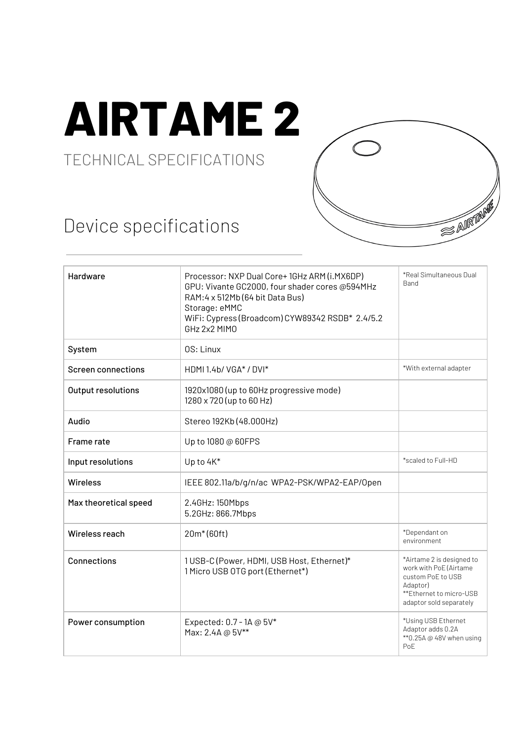## **AIRTAME 2**

## TECHNICAL SPECIFICATIONS

## Device specifications



| Hardware                  | Processor: NXP Dual Core+1GHz ARM (i.MX6DP)<br>GPU: Vivante GC2000, four shader cores @594MHz<br>RAM: 4 x 512Mb (64 bit Data Bus)<br>Storage: eMMC<br>WiFi: Cypress (Broadcom) CYW89342 RSDB* 2.4/5.2<br>GHz 2x2 MIMO | *Real Simultaneous Dual<br><b>Band</b>                                                                                                     |
|---------------------------|-----------------------------------------------------------------------------------------------------------------------------------------------------------------------------------------------------------------------|--------------------------------------------------------------------------------------------------------------------------------------------|
| System                    | OS: Linux                                                                                                                                                                                                             |                                                                                                                                            |
| <b>Screen connections</b> | HDMI 1.4b/ VGA* / DVI*                                                                                                                                                                                                | *With external adapter                                                                                                                     |
| Output resolutions        | 1920x1080 (up to 60Hz progressive mode)<br>1280 x 720 (up to 60 Hz)                                                                                                                                                   |                                                                                                                                            |
| Audio                     | Stereo 192Kb (48.000Hz)                                                                                                                                                                                               |                                                                                                                                            |
| Frame rate                | Up to 1080 @ 60FPS                                                                                                                                                                                                    |                                                                                                                                            |
| Input resolutions         | Up to 4K*                                                                                                                                                                                                             | *scaled to Full-HD                                                                                                                         |
| <b>Wireless</b>           | IEEE 802.11a/b/g/n/ac WPA2-PSK/WPA2-EAP/0pen                                                                                                                                                                          |                                                                                                                                            |
| Max theoretical speed     | 2.4GHz: 150Mbps<br>5.2GHz: 866.7Mbps                                                                                                                                                                                  |                                                                                                                                            |
| Wireless reach            | 20m <sup>*</sup> (60ft)                                                                                                                                                                                               | *Dependant on<br>environment                                                                                                               |
| <b>Connections</b>        | 1USB-C (Power, HDMI, USB Host, Ethernet)*<br>1 Micro USB OTG port (Ethernet*)                                                                                                                                         | *Airtame 2 is designed to<br>work with PoE (Airtame<br>custom PoE to USB<br>Adaptor)<br>**Ethernet to micro-USB<br>adaptor sold separately |
| Power consumption         | Expected: 0.7 - 1A @ 5V*<br>Max: 2.4A @ 5V**                                                                                                                                                                          | *Using USB Ethernet<br>Adaptor adds 0.2A<br>** 0.25A @ 48V when using<br>PoE                                                               |